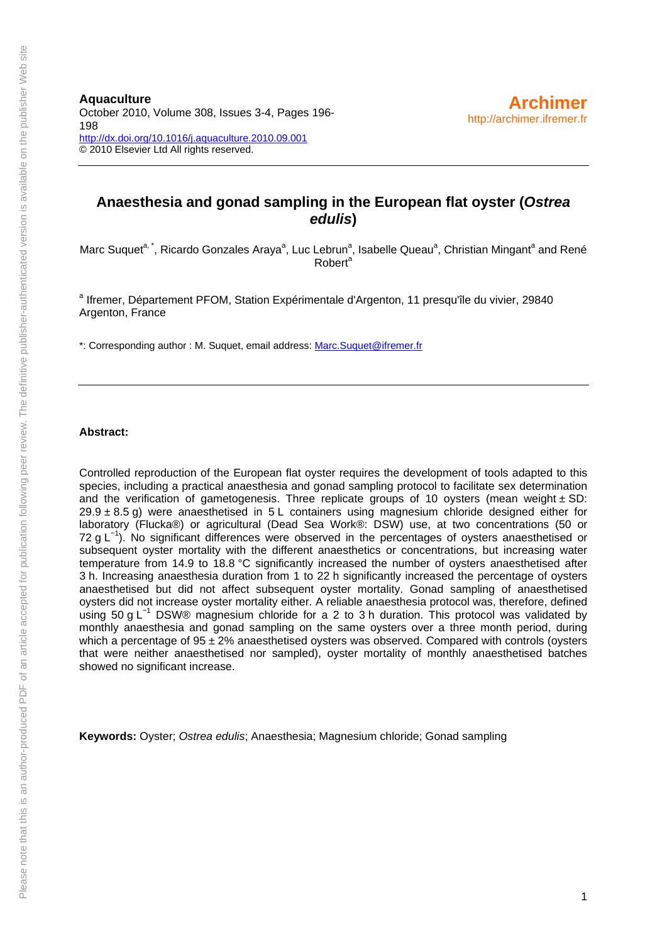# **Anaesthesia and gonad sampling in the European flat oyster (***Ostrea edulis***)**

Marc Suquet<sup>a, \*</sup>, Ricardo Gonzales Araya<sup>a</sup>, Luc Lebrun<sup>a</sup>, Isabelle Queau<sup>a</sup>, Christian Mingant<sup>a</sup> and René Robert<sup>a</sup>

<sup>a</sup> Ifremer, Département PFOM, Station Expérimentale d'Argenton, 11 presqu'île du vivier, 29840 Argenton, France

\*: Corresponding author : M. Suquet, email address: [Marc.Suquet@ifremer.fr](mailto:Marc.Suquet@ifremer.fr)

#### **Abstract:**

Controlled reproduction of the European flat oyster requires the development of tools adapted to this species, including a practical anaesthesia and gonad sampling protocol to facilitate sex determination and the verification of gametogenesis. Three replicate groups of 10 oysters (mean weight  $\pm$  SD:  $29.9 \pm 8.5$  g) were anaesthetised in  $5 \text{ L}$  containers using magnesium chloride designed either for laboratory (Flucka®) or agricultural (Dead Sea Work®: DSW) use, at two concentrations (50 or 72 g L<sup>-1</sup>). No significant differences were observed in the percentages of oysters anaesthetised or subsequent oyster mortality with the different anaesthetics or concentrations, but increasing water temperature from 14.9 to 18.8 °C significantly increased the number of oysters anaesthetised after 3 h. Increasing anaesthesia duration from 1 to 22 h significantly increased the percentage of oysters anaesthetised but did not affect subsequent oyster mortality. Gonad sampling of anaesthetised oysters did not increase oyster mortality either. A reliable anaesthesia protocol was, therefore, defined using 50 g L<sup>-1</sup> DSW® magnesium chloride for a 2 to 3 h duration. This protocol was validated by monthly anaesthesia and gonad sampling on the same oysters over a three month period, during which a percentage of  $95 \pm 2\%$  anaesthetised oysters was observed. Compared with controls (oysters that were neither anaesthetised nor sampled), oyster mortality of monthly anaesthetised batches showed no significant increase.

**Keywords:** Oyster; *Ostrea edulis*; Anaesthesia; Magnesium chloride; Gonad sampling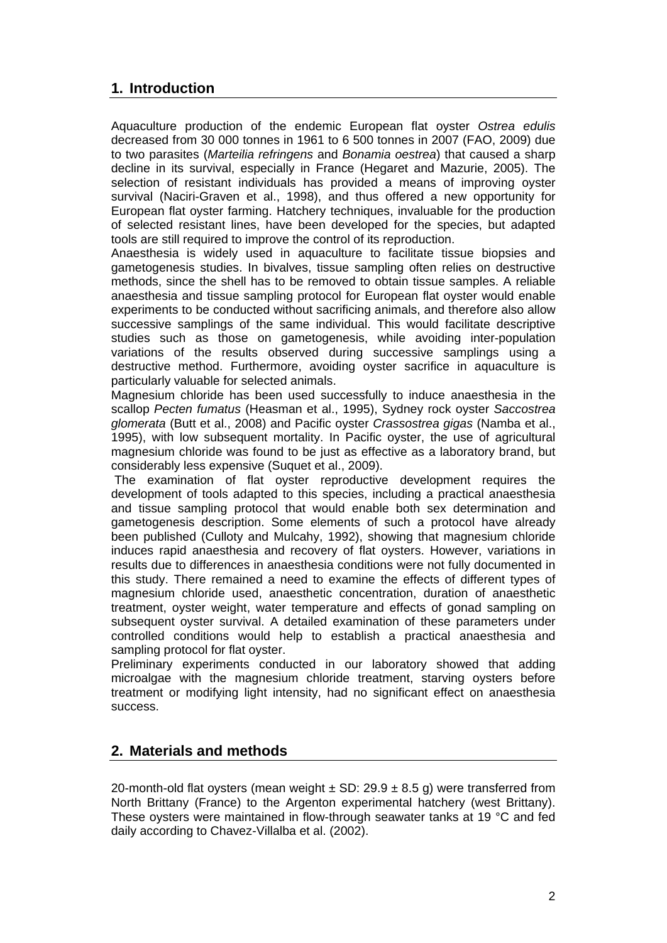# **1. Introduction**

Aquaculture production of the endemic European flat oyster *Ostrea edulis* decreased from 30 000 tonnes in 1961 to 6 500 tonnes in 2007 (FAO, 2009) due to two parasites (*Marteilia refringens* and *Bonamia oestrea*) that caused a sharp decline in its survival, especially in France (Hegaret and Mazurie, 2005). The selection of resistant individuals has provided a means of improving oyster survival (Naciri-Graven et al., 1998), and thus offered a new opportunity for European flat oyster farming. Hatchery techniques, invaluable for the production of selected resistant lines, have been developed for the species, but adapted tools are still required to improve the control of its reproduction.

Anaesthesia is widely used in aquaculture to facilitate tissue biopsies and gametogenesis studies. In bivalves, tissue sampling often relies on destructive methods, since the shell has to be removed to obtain tissue samples. A reliable anaesthesia and tissue sampling protocol for European flat oyster would enable experiments to be conducted without sacrificing animals, and therefore also allow successive samplings of the same individual. This would facilitate descriptive studies such as those on gametogenesis, while avoiding inter-population variations of the results observed during successive samplings using a destructive method. Furthermore, avoiding oyster sacrifice in aquaculture is particularly valuable for selected animals.

Magnesium chloride has been used successfully to induce anaesthesia in the scallop *Pecten fumatus* (Heasman et al., 1995), Sydney rock oyster *Saccostrea glomerata* (Butt et al., 2008) and Pacific oyster *Crassostrea gigas* (Namba et al., 1995), with low subsequent mortality. In Pacific oyster, the use of agricultural magnesium chloride was found to be just as effective as a laboratory brand, but considerably less expensive (Suquet et al., 2009).

 The examination of flat oyster reproductive development requires the development of tools adapted to this species, including a practical anaesthesia and tissue sampling protocol that would enable both sex determination and gametogenesis description. Some elements of such a protocol have already been published (Culloty and Mulcahy, 1992), showing that magnesium chloride induces rapid anaesthesia and recovery of flat oysters. However, variations in results due to differences in anaesthesia conditions were not fully documented in this study. There remained a need to examine the effects of different types of magnesium chloride used, anaesthetic concentration, duration of anaesthetic treatment, oyster weight, water temperature and effects of gonad sampling on subsequent oyster survival. A detailed examination of these parameters under controlled conditions would help to establish a practical anaesthesia and sampling protocol for flat oyster.

Preliminary experiments conducted in our laboratory showed that adding microalgae with the magnesium chloride treatment, starving oysters before treatment or modifying light intensity, had no significant effect on anaesthesia success.

# **2. Materials and methods**

20-month-old flat oysters (mean weight  $\pm$  SD: 29.9  $\pm$  8.5 g) were transferred from North Brittany (France) to the Argenton experimental hatchery (west Brittany). These oysters were maintained in flow-through seawater tanks at 19 °C and fed daily according to Chavez-Villalba et al. (2002).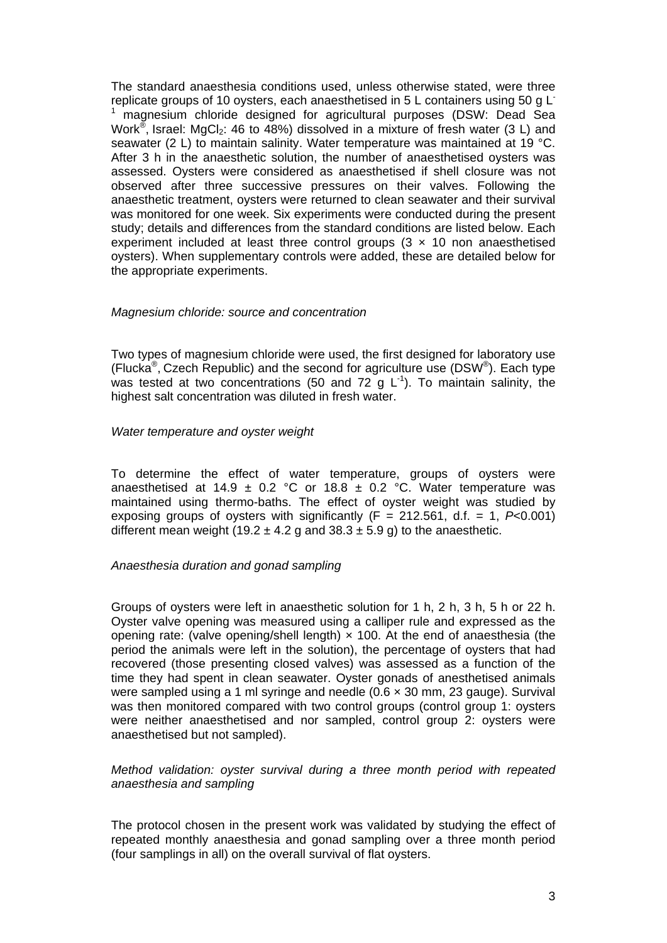The standard anaesthesia conditions used, unless otherwise stated, were three replicate groups of 10 oysters, each anaesthetised in 5 L containers using 50 g L-1 magnesium chloride designed for agricultural purposes (DSW: Dead Sea Work<sup>®</sup>, Israel: MgCl<sub>2</sub>: 46 to 48%) dissolved in a mixture of fresh water (3 L) and seawater (2 L) to maintain salinity. Water temperature was maintained at 19 °C. After 3 h in the anaesthetic solution, the number of anaesthetised oysters was assessed. Oysters were considered as anaesthetised if shell closure was not observed after three successive pressures on their valves. Following the anaesthetic treatment, oysters were returned to clean seawater and their survival was monitored for one week. Six experiments were conducted during the present study; details and differences from the standard conditions are listed below. Each experiment included at least three control groups  $(3 \times 10)$  non anaesthetised oysters). When supplementary controls were added, these are detailed below for the appropriate experiments.

#### *Magnesium chloride: source and concentration*

Two types of magnesium chloride were used, the first designed for laboratory use (Flucka<sup>®</sup>, Czech Republic) and the second for agriculture use (DSW<sup>®</sup>). Each type was tested at two concentrations (50 and 72 g  $L^{-1}$ ). To maintain salinity, the highest salt concentration was diluted in fresh water.

#### *Water temperature and oyster weight*

To determine the effect of water temperature, groups of oysters were anaesthetised at 14.9  $\pm$  0.2 °C or 18.8  $\pm$  0.2 °C. Water temperature was maintained using thermo-baths. The effect of oyster weight was studied by exposing groups of oysters with significantly (F = 212.561, d.f. = 1, *P*<0.001) different mean weight (19.2  $\pm$  4.2 g and 38.3  $\pm$  5.9 g) to the anaesthetic.

#### *Anaesthesia duration and gonad sampling*

Groups of oysters were left in anaesthetic solution for 1 h, 2 h, 3 h, 5 h or 22 h. Oyster valve opening was measured using a calliper rule and expressed as the opening rate: (valve opening/shell length)  $\times$  100. At the end of anaesthesia (the period the animals were left in the solution), the percentage of oysters that had recovered (those presenting closed valves) was assessed as a function of the time they had spent in clean seawater. Oyster gonads of anesthetised animals were sampled using a 1 ml syringe and needle (0.6 × 30 mm, 23 gauge). Survival was then monitored compared with two control groups (control group 1: oysters were neither anaesthetised and nor sampled, control group 2: oysters were anaesthetised but not sampled).

*Method validation: oyster survival during a three month period with repeated anaesthesia and sampling* 

The protocol chosen in the present work was validated by studying the effect of repeated monthly anaesthesia and gonad sampling over a three month period (four samplings in all) on the overall survival of flat oysters.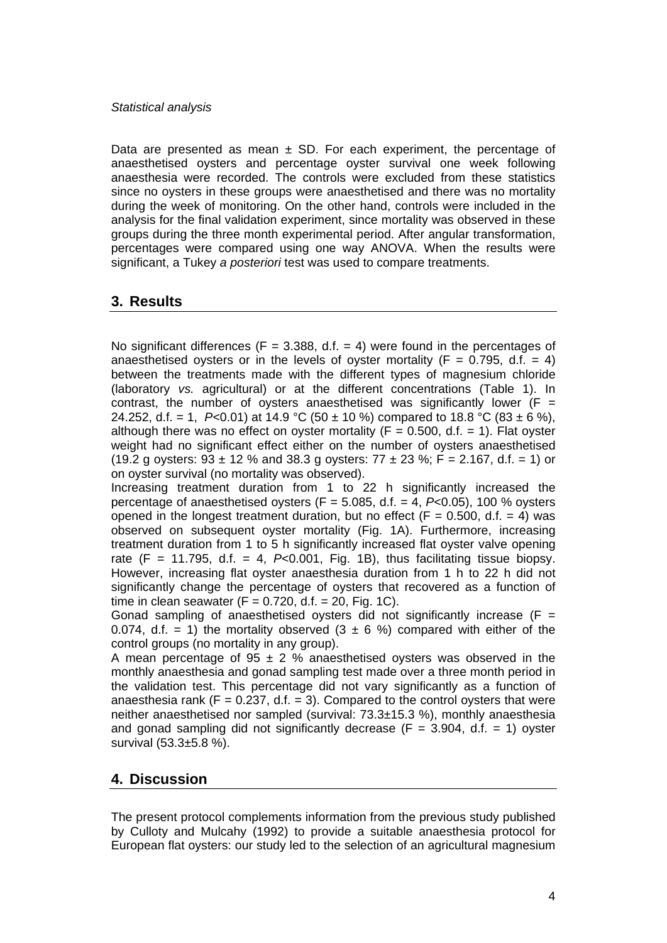#### *Statistical analysis*

Data are presented as mean  $\pm$  SD. For each experiment, the percentage of anaesthetised oysters and percentage oyster survival one week following anaesthesia were recorded. The controls were excluded from these statistics since no oysters in these groups were anaesthetised and there was no mortality during the week of monitoring. On the other hand, controls were included in the analysis for the final validation experiment, since mortality was observed in these groups during the three month experimental period. After angular transformation, percentages were compared using one way ANOVA. When the results were significant, a Tukey *a posteriori* test was used to compare treatments.

### **3. Results**

No significant differences ( $F = 3.388$ , d.f. = 4) were found in the percentages of anaesthetised oysters or in the levels of oyster mortality ( $F = 0.795$ , d.f. = 4) between the treatments made with the different types of magnesium chloride (laboratory *vs.* agricultural) or at the different concentrations (Table 1). In contrast, the number of oysters anaesthetised was significantly lower ( $F =$ 24.252, d.f. = 1,  $P<0.01$ ) at 14.9 °C (50 ± 10 %) compared to 18.8 °C (83 ± 6 %), although there was no effect on oyster mortality ( $F = 0.500$ , d.f. = 1). Flat oyster weight had no significant effect either on the number of oysters anaesthetised (19.2 g oysters:  $93 \pm 12$  % and  $38.3$  g oysters:  $77 \pm 23$  %;  $F = 2.167$ , d.f. = 1) or on oyster survival (no mortality was observed).

Increasing treatment duration from 1 to 22 h significantly increased the percentage of anaesthetised oysters (F = 5.085, d.f. = 4, *P*<0.05), 100 % oysters opened in the longest treatment duration, but no effect ( $F = 0.500$ , d.f. = 4) was observed on subsequent oyster mortality (Fig. 1A). Furthermore, increasing treatment duration from 1 to 5 h significantly increased flat oyster valve opening rate  $(F = 11.795, d.f. = 4, P<0.001, Fig. 1B)$ , thus facilitating tissue biopsy. However, increasing flat oyster anaesthesia duration from 1 h to 22 h did not significantly change the percentage of oysters that recovered as a function of time in clean seawater ( $F = 0.720$ , d.f. = 20, Fig. 1C).

Gonad sampling of anaesthetised oysters did not significantly increase ( $F =$ 0.074, d.f. = 1) the mortality observed  $(3 \pm 6 \%)$  compared with either of the control groups (no mortality in any group).

A mean percentage of  $95 \pm 2$  % anaesthetised oysters was observed in the monthly anaesthesia and gonad sampling test made over a three month period in the validation test. This percentage did not vary significantly as a function of anaesthesia rank  $(F = 0.237, d.f. = 3)$ . Compared to the control oysters that were neither anaesthetised nor sampled (survival: 73.3±15.3 %), monthly anaesthesia and gonad sampling did not significantly decrease ( $F = 3.904$ , d.f. = 1) oyster survival (53.3±5.8 %).

# **4. Discussion**

The present protocol complements information from the previous study published by Culloty and Mulcahy (1992) to provide a suitable anaesthesia protocol for European flat oysters: our study led to the selection of an agricultural magnesium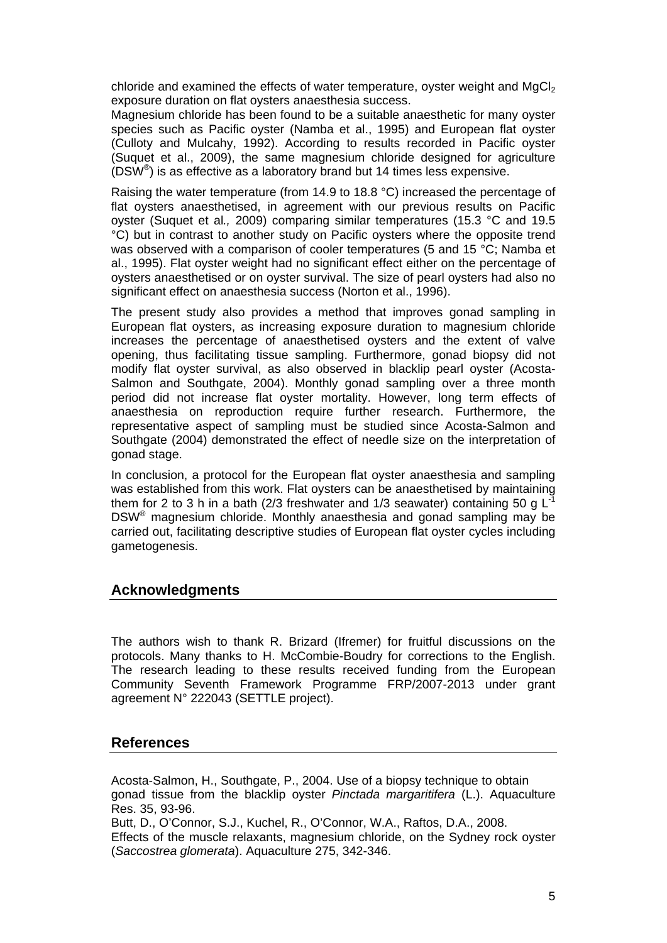chloride and examined the effects of water temperature, oyster weight and  $MgCl<sub>2</sub>$ exposure duration on flat oysters anaesthesia success.

Magnesium chloride has been found to be a suitable anaesthetic for many oyster species such as Pacific oyster (Namba et al., 1995) and European flat oyster (Culloty and Mulcahy, 1992). According to results recorded in Pacific oyster (Suquet et al., 2009), the same magnesium chloride designed for agriculture (DSW®) is as effective as a laboratory brand but 14 times less expensive.

Raising the water temperature (from 14.9 to 18.8 °C) increased the percentage of flat oysters anaesthetised, in agreement with our previous results on Pacific oyster (Suquet et al*.,* 2009) comparing similar temperatures (15.3 °C and 19.5 °C) but in contrast to another study on Pacific oysters where the opposite trend was observed with a comparison of cooler temperatures (5 and 15 °C; Namba et al., 1995). Flat oyster weight had no significant effect either on the percentage of oysters anaesthetised or on oyster survival. The size of pearl oysters had also no significant effect on anaesthesia success (Norton et al., 1996).

The present study also provides a method that improves gonad sampling in European flat oysters, as increasing exposure duration to magnesium chloride increases the percentage of anaesthetised oysters and the extent of valve opening, thus facilitating tissue sampling. Furthermore, gonad biopsy did not modify flat oyster survival, as also observed in blacklip pearl oyster (Acosta-Salmon and Southgate, 2004). Monthly gonad sampling over a three month period did not increase flat oyster mortality. However, long term effects of anaesthesia on reproduction require further research. Furthermore, the representative aspect of sampling must be studied since Acosta-Salmon and Southgate (2004) demonstrated the effect of needle size on the interpretation of gonad stage.

In conclusion, a protocol for the European flat oyster anaesthesia and sampling was established from this work. Flat oysters can be anaesthetised by maintaining them for 2 to 3 h in a bath (2/3 freshwater and 1/3 seawater) containing 50 g  $L^2$ DSW® magnesium chloride. Monthly anaesthesia and gonad sampling may be carried out, facilitating descriptive studies of European flat oyster cycles including gametogenesis.

### **Acknowledgments**

The authors wish to thank R. Brizard (Ifremer) for fruitful discussions on the protocols. Many thanks to H. McCombie-Boudry for corrections to the English. The research leading to these results received funding from the European Community Seventh Framework Programme FRP/2007-2013 under grant agreement N° 222043 (SETTLE project).

### **References**

Acosta-Salmon, H., Southgate, P., 2004. Use of a biopsy technique to obtain gonad tissue from the blacklip oyster *Pinctada margaritifera* (L.). Aquaculture Res. 35, 93-96.

Butt, D., O'Connor, S.J., Kuchel, R., O'Connor, W.A., Raftos, D.A., 2008. Effects of the muscle relaxants, magnesium chloride, on the Sydney rock oyster (*Saccostrea glomerata*). Aquaculture 275, 342-346.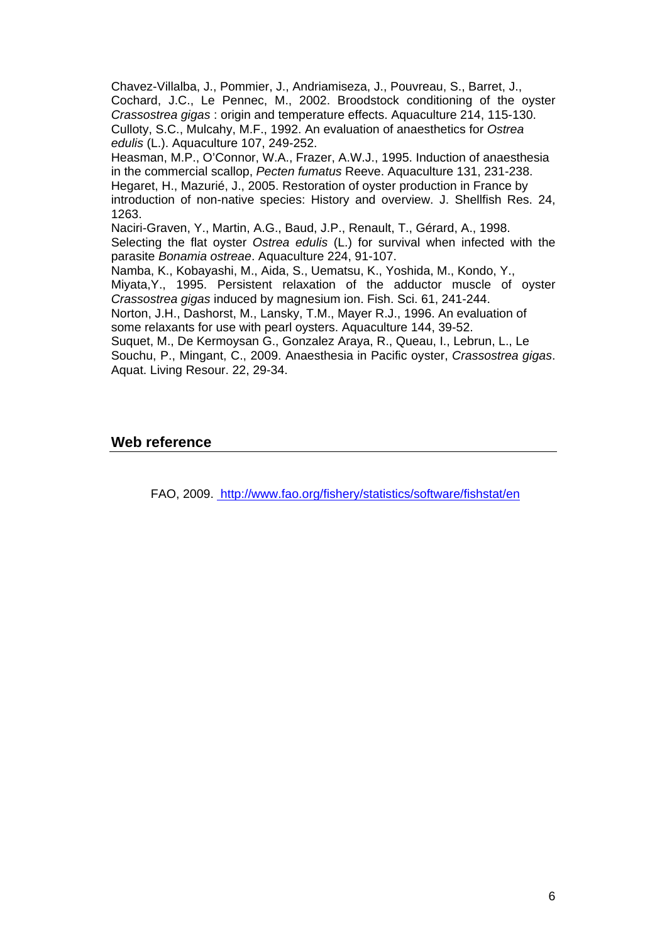Chavez-Villalba, J., Pommier, J., Andriamiseza, J., Pouvreau, S., Barret, J., Cochard, J.C., Le Pennec, M., 2002. Broodstock conditioning of the oyster *Crassostrea gigas* : origin and temperature effects. Aquaculture 214, 115-130. Culloty, S.C., Mulcahy, M.F., 1992. An evaluation of anaesthetics for *Ostrea edulis* (L.). Aquaculture 107, 249-252.

Heasman, M.P., O'Connor, W.A., Frazer, A.W.J., 1995. Induction of anaesthesia in the commercial scallop, *Pecten fumatus* Reeve. Aquaculture 131, 231-238. Hegaret, H., Mazurié, J., 2005. Restoration of oyster production in France by introduction of non-native species: History and overview. J. Shellfish Res. 24, 1263.

Naciri-Graven, Y., Martin, A.G., Baud, J.P., Renault, T., Gérard, A., 1998. Selecting the flat oyster *Ostrea edulis* (L.) for survival when infected with the parasite *Bonamia ostreae*. Aquaculture 224, 91-107.

Namba, K., Kobayashi, M., Aida, S., Uematsu, K., Yoshida, M., Kondo, Y.,

Miyata,Y., 1995. Persistent relaxation of the adductor muscle of oyster *Crassostrea gigas* induced by magnesium ion. Fish. Sci. 61, 241-244.

Norton, J.H., Dashorst, M., Lansky, T.M., Mayer R.J., 1996. An evaluation of some relaxants for use with pearl oysters. Aquaculture 144, 39-52.

Suquet, M., De Kermoysan G., Gonzalez Araya, R., Queau, I., Lebrun, L., Le Souchu, P., Mingant, C., 2009. Anaesthesia in Pacific oyster, *Crassostrea gigas*. Aquat. Living Resour. 22, 29-34.

# **Web reference**

FAO, 2009. [http://www.fao.org/fishery/statistics/software/fishstat/en](http://www.fao.org/figis/servlet/TabLandArea?tb_ds=Aquaculture&tb_mode=TABLE&tb_act=SELECT&tb_grp=COUNTRY)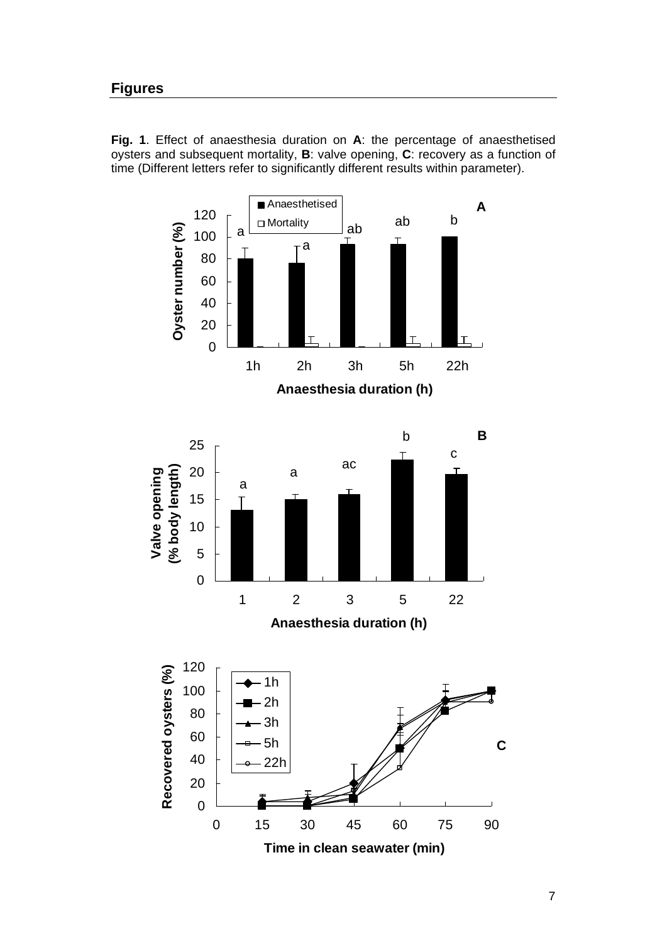